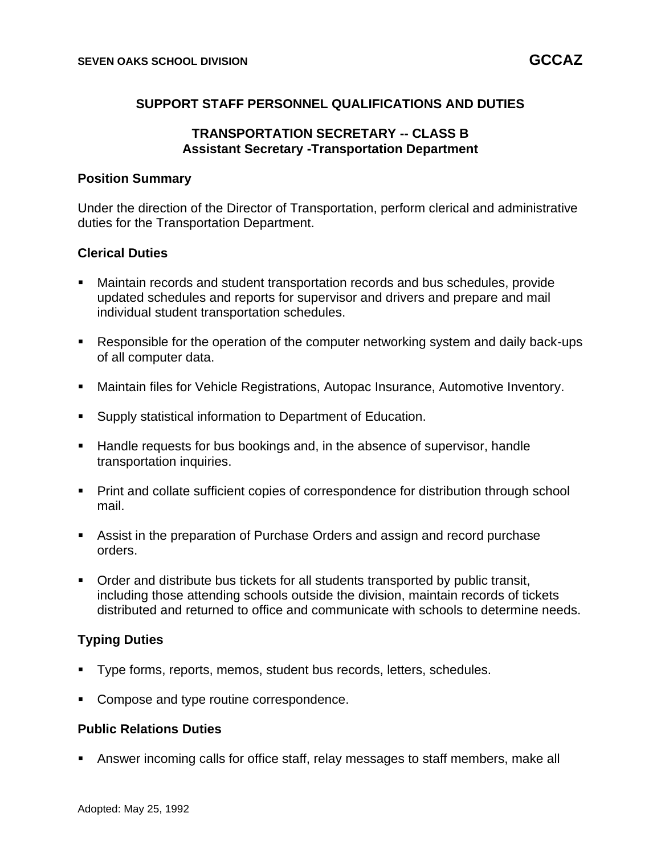# **SUPPORT STAFF PERSONNEL QUALIFICATIONS AND DUTIES**

# **TRANSPORTATION SECRETARY -- CLASS B Assistant Secretary -Transportation Department**

### **Position Summary**

Under the direction of the Director of Transportation, perform clerical and administrative duties for the Transportation Department.

### **Clerical Duties**

- Maintain records and student transportation records and bus schedules, provide updated schedules and reports for supervisor and drivers and prepare and mail individual student transportation schedules.
- Responsible for the operation of the computer networking system and daily back-ups of all computer data.
- Maintain files for Vehicle Registrations, Autopac Insurance, Automotive Inventory.
- Supply statistical information to Department of Education.
- Handle requests for bus bookings and, in the absence of supervisor, handle transportation inquiries.
- Print and collate sufficient copies of correspondence for distribution through school mail.
- Assist in the preparation of Purchase Orders and assign and record purchase orders.
- Order and distribute bus tickets for all students transported by public transit, including those attending schools outside the division, maintain records of tickets distributed and returned to office and communicate with schools to determine needs.

# **Typing Duties**

- Type forms, reports, memos, student bus records, letters, schedules.
- Compose and type routine correspondence.

#### **Public Relations Duties**

Answer incoming calls for office staff, relay messages to staff members, make all